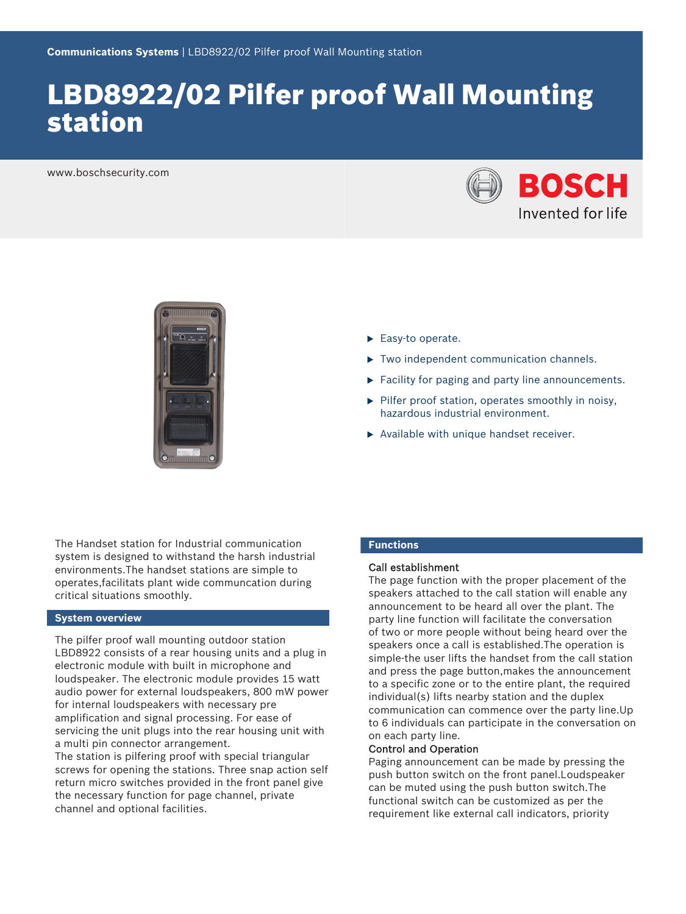# LBD8922/02 Pilfer proof Wall Mounting station

www.boschsecurity.com





- $\blacktriangleright$  Easy-to operate.
- $\triangleright$  Two independent communication channels.
- $\blacktriangleright$  Facility for paging and party line announcements.
- $\blacktriangleright$  Pilfer proof station, operates smoothly in noisy, hazardous industrial environment.
- $\blacktriangleright$  Available with unique handset receiver.

The Handset station for Industrial communication system is designed to withstand the harsh industrial environments.The handset stations are simple to operates,facilitats plant wide communcation during critical situations smoothly.

#### **System overview**

The pilfer proof wall mounting outdoor station LBD8922 consists of a rear housing units and a plug in electronic module with built in microphone and loudspeaker. The electronic module provides 15 watt audio power for external loudspeakers, 800 mW power for internal loudspeakers with necessary pre amplification and signal processing. For ease of servicing the unit plugs into the rear housing unit with a multi pin connector arrangement.

The station is pilfering proof with special triangular screws for opening the stations. Three snap action self return micro switches provided in the front panel give the necessary function for page channel, private channel and optional facilities.

### **Functions**

#### Call establishment

The page function with the proper placement of the speakers attached to the call station will enable any announcement to be heard all over the plant. The party line function will facilitate the conversation of two or more people without being heard over the speakers once a call is established.The operation is simple-the user lifts the handset from the call station and press the page button,makes the announcement to a specific zone or to the entire plant, the required individual(s) lifts nearby station and the duplex communication can commence over the party line.Up to 6 individuals can participate in the conversation on on each party line.

#### Control and Operation

Paging announcement can be made by pressing the push button switch on the front panel.Loudspeaker can be muted using the push button switch.The functional switch can be customized as per the requirement like external call indicators, priority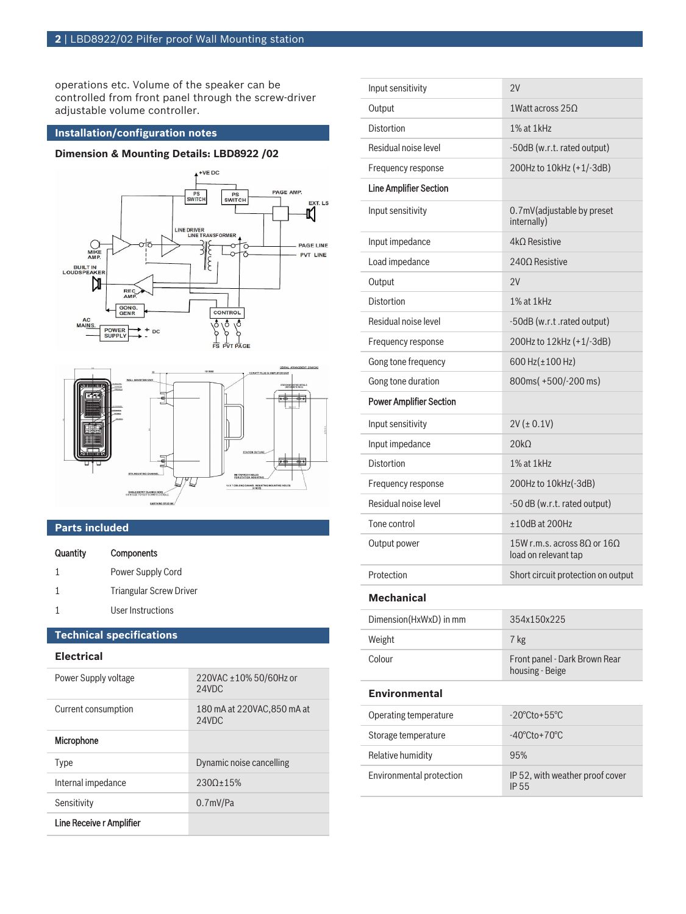operations etc. Volume of the speaker can be controlled from front panel through the screw-driver adjustable volume controller.

# **Installation/configuration notes**

### **Dimension & Mounting Details: LBD8922 /02**





# **Parts included**

| Quantity | <b>Components</b>              |
|----------|--------------------------------|
| 1        | Power Supply Cord              |
| 1        | <b>Triangular Screw Driver</b> |
|          | User Instructions              |

# **Technical specifications**

## **Electrical**

| Power Supply voltage     | 220VAC ±10% 50/60Hz or<br>24VDC     |
|--------------------------|-------------------------------------|
| Current consumption      | 180 mA at 220VAC.850 mA at<br>24VDC |
| <b>Microphone</b>        |                                     |
| Type                     | Dynamic noise cancelling            |
| Internal impedance       | $2300+15%$                          |
| Sensitivity              | $0.7$ mV/Pa                         |
| Line Receive r Amplifier |                                     |

| Input sensitivity               | 2V                                                                  |  |
|---------------------------------|---------------------------------------------------------------------|--|
| Output                          | 1Watt across $250$                                                  |  |
| Distortion                      | 1% at 1kHz                                                          |  |
| Residual noise level            | -50dB (w.r.t. rated output)                                         |  |
| Frequency response              | 200Hz to 10kHz (+1/-3dB)                                            |  |
| <b>Line Amplifier Section</b>   |                                                                     |  |
| Input sensitivity               | 0.7mV(adjustable by preset<br>internally)                           |  |
| Input impedance                 | 4kO Resistive                                                       |  |
| Load impedance                  | 2400 Resistive                                                      |  |
| Output                          | 2V                                                                  |  |
| <b>Distortion</b>               | 1% at 1kHz                                                          |  |
| Residual noise level            | -50dB (w.r.t .rated output)                                         |  |
| Frequency response              | 200Hz to 12kHz (+1/-3dB)                                            |  |
| Gong tone frequency             | 600 Hz(±100 Hz)                                                     |  |
| Gong tone duration              | 800ms(+500/-200 ms)                                                 |  |
| <b>Power Amplifier Section</b>  |                                                                     |  |
| Input sensitivity               | $2V (\pm 0.1V)$                                                     |  |
| Input impedance                 | 20k <sub>0</sub>                                                    |  |
| <b>Distortion</b>               | 1% at 1kHz                                                          |  |
| Frequency response              | 200Hz to 10kHz(-3dB)                                                |  |
| Residual noise level            | -50 dB (w.r.t. rated output)                                        |  |
| Tone control                    | $±10dB$ at 200Hz                                                    |  |
| Output power                    | 15W r.m.s. across 8 $\Omega$ or 16 $\Omega$<br>load on relevant tap |  |
| Protection                      | Short circuit protection on output                                  |  |
| Mechanical                      |                                                                     |  |
| Dimension(HxWxD) in mm          | 354x150x225                                                         |  |
| Weight                          | 7 kg                                                                |  |
| Colour                          | Front panel - Dark Brown Rear<br>housing - Beige                    |  |
| <b>Environmental</b>            |                                                                     |  |
| Operating temperature           | $-20^{\circ}$ Cto $+55^{\circ}$ C                                   |  |
| Storage temperature             | $-40^{\circ}$ Cto + $70^{\circ}$ C                                  |  |
| Relative humidity               | 95%                                                                 |  |
| <b>Environmental protection</b> | IP 52, with weather proof cover<br>IP 55                            |  |
|                                 |                                                                     |  |